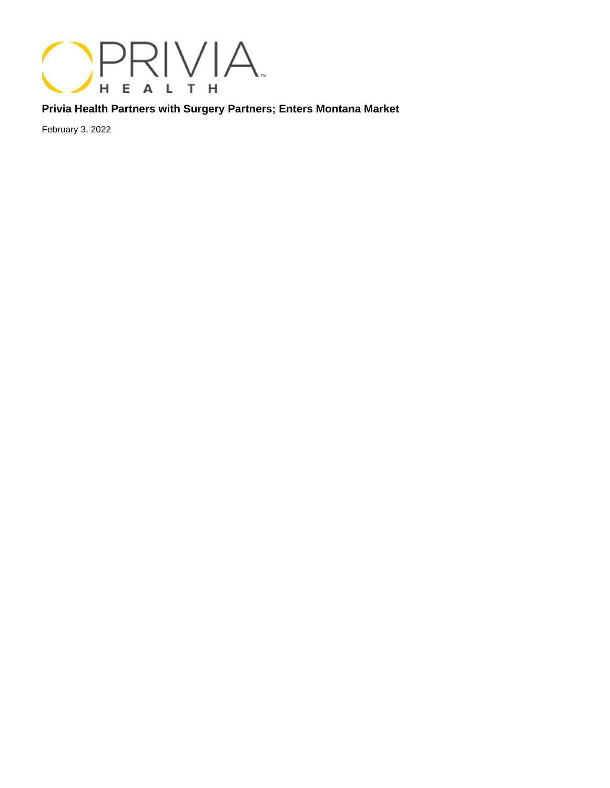

# **Privia Health Partners with Surgery Partners; Enters Montana Market**

February 3, 2022